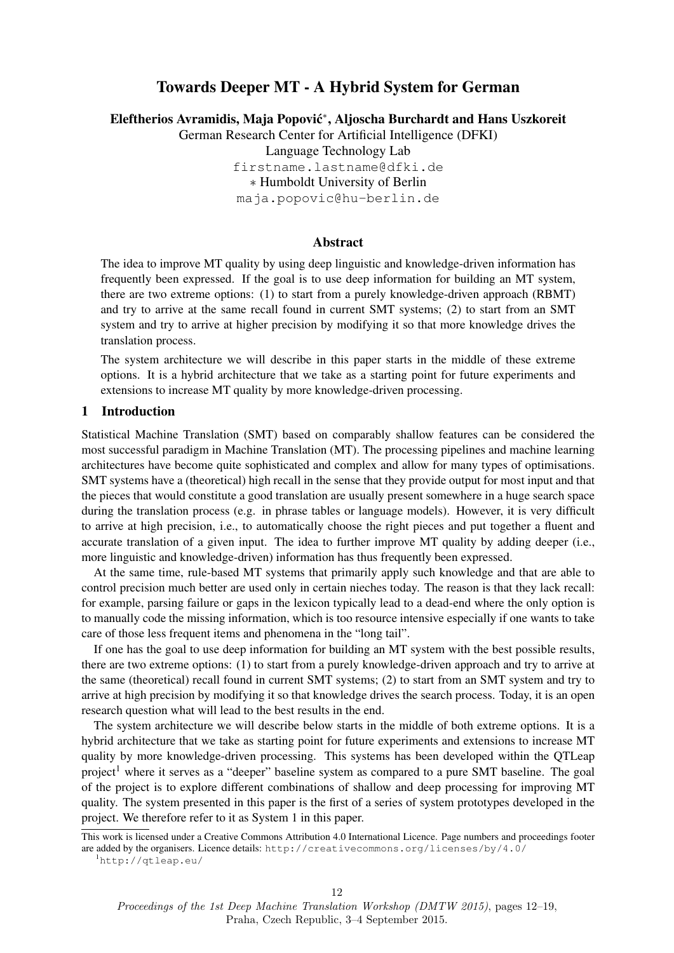# Towards Deeper MT - A Hybrid System for German

Eleftherios Avramidis, Maja Popović<sup>\*</sup>, Aljoscha Burchardt and Hans Uszkoreit

German Research Center for Artificial Intelligence (DFKI)

Language Technology Lab

firstname.lastname@dfki.de

∗ Humboldt University of Berlin

maja.popovic@hu-berlin.de

# Abstract

The idea to improve MT quality by using deep linguistic and knowledge-driven information has frequently been expressed. If the goal is to use deep information for building an MT system, there are two extreme options: (1) to start from a purely knowledge-driven approach (RBMT) and try to arrive at the same recall found in current SMT systems; (2) to start from an SMT system and try to arrive at higher precision by modifying it so that more knowledge drives the translation process.

The system architecture we will describe in this paper starts in the middle of these extreme options. It is a hybrid architecture that we take as a starting point for future experiments and extensions to increase MT quality by more knowledge-driven processing.

#### 1 Introduction

Statistical Machine Translation (SMT) based on comparably shallow features can be considered the most successful paradigm in Machine Translation (MT). The processing pipelines and machine learning architectures have become quite sophisticated and complex and allow for many types of optimisations. SMT systems have a (theoretical) high recall in the sense that they provide output for most input and that the pieces that would constitute a good translation are usually present somewhere in a huge search space during the translation process (e.g. in phrase tables or language models). However, it is very difficult to arrive at high precision, i.e., to automatically choose the right pieces and put together a fluent and accurate translation of a given input. The idea to further improve MT quality by adding deeper (i.e., more linguistic and knowledge-driven) information has thus frequently been expressed.

At the same time, rule-based MT systems that primarily apply such knowledge and that are able to control precision much better are used only in certain nieches today. The reason is that they lack recall: for example, parsing failure or gaps in the lexicon typically lead to a dead-end where the only option is to manually code the missing information, which is too resource intensive especially if one wants to take care of those less frequent items and phenomena in the "long tail".

If one has the goal to use deep information for building an MT system with the best possible results, there are two extreme options: (1) to start from a purely knowledge-driven approach and try to arrive at the same (theoretical) recall found in current SMT systems; (2) to start from an SMT system and try to arrive at high precision by modifying it so that knowledge drives the search process. Today, it is an open research question what will lead to the best results in the end.

The system architecture we will describe below starts in the middle of both extreme options. It is a hybrid architecture that we take as starting point for future experiments and extensions to increase MT quality by more knowledge-driven processing. This systems has been developed within the QTLeap project<sup>1</sup> where it serves as a "deeper" baseline system as compared to a pure SMT baseline. The goal of the project is to explore different combinations of shallow and deep processing for improving MT quality. The system presented in this paper is the first of a series of system prototypes developed in the project. We therefore refer to it as System 1 in this paper.

This work is licensed under a Creative Commons Attribution 4.0 International Licence. Page numbers and proceedings footer are added by the organisers. Licence details: http://creativecommons.org/licenses/by/4.0/

<sup>1</sup>http://qtleap.eu/

Proceedings of the 1st Deep Machine Translation Workshop (DMTW 2015), pages 12–19, Praha, Czech Republic, 3–4 September 2015.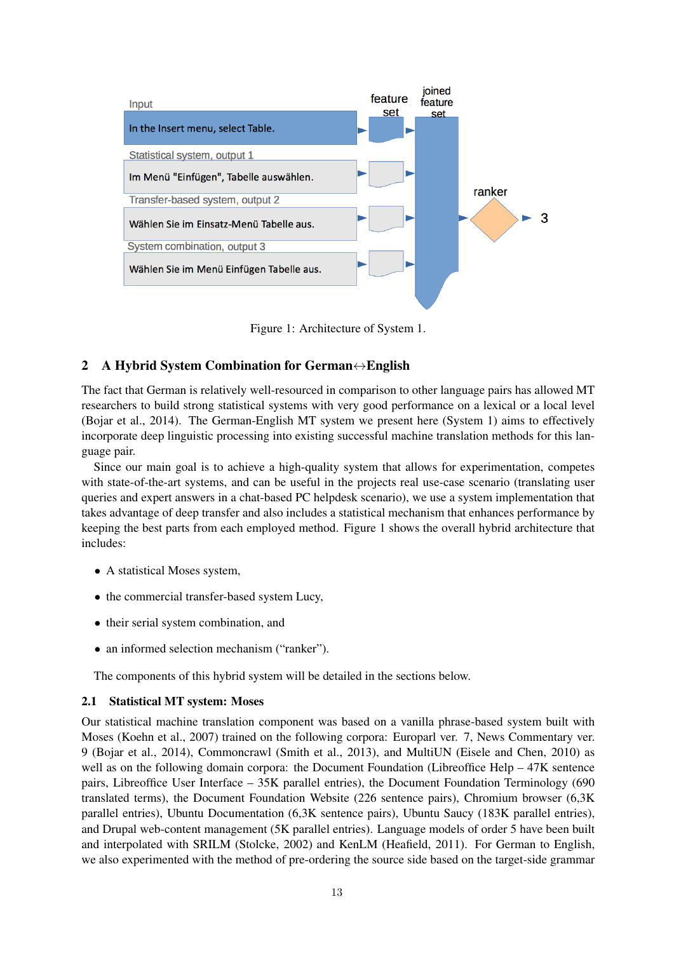

Figure 1: Architecture of System 1.

# 2 A Hybrid System Combination for German↔English

The fact that German is relatively well-resourced in comparison to other language pairs has allowed MT researchers to build strong statistical systems with very good performance on a lexical or a local level (Bojar et al., 2014). The German-English MT system we present here (System 1) aims to effectively incorporate deep linguistic processing into existing successful machine translation methods for this language pair.

Since our main goal is to achieve a high-quality system that allows for experimentation, competes with state-of-the-art systems, and can be useful in the projects real use-case scenario (translating user queries and expert answers in a chat-based PC helpdesk scenario), we use a system implementation that takes advantage of deep transfer and also includes a statistical mechanism that enhances performance by keeping the best parts from each employed method. Figure 1 shows the overall hybrid architecture that includes:

- A statistical Moses system,
- the commercial transfer-based system Lucy,
- their serial system combination, and
- an informed selection mechanism ("ranker").

The components of this hybrid system will be detailed in the sections below.

# 2.1 Statistical MT system: Moses

Our statistical machine translation component was based on a vanilla phrase-based system built with Moses (Koehn et al., 2007) trained on the following corpora: Europarl ver. 7, News Commentary ver. 9 (Bojar et al., 2014), Commoncrawl (Smith et al., 2013), and MultiUN (Eisele and Chen, 2010) as well as on the following domain corpora: the Document Foundation (Libreoffice Help – 47K sentence pairs, Libreoffice User Interface – 35K parallel entries), the Document Foundation Terminology (690 translated terms), the Document Foundation Website (226 sentence pairs), Chromium browser (6,3K parallel entries), Ubuntu Documentation (6,3K sentence pairs), Ubuntu Saucy (183K parallel entries), and Drupal web-content management (5K parallel entries). Language models of order 5 have been built and interpolated with SRILM (Stolcke, 2002) and KenLM (Heafield, 2011). For German to English, we also experimented with the method of pre-ordering the source side based on the target-side grammar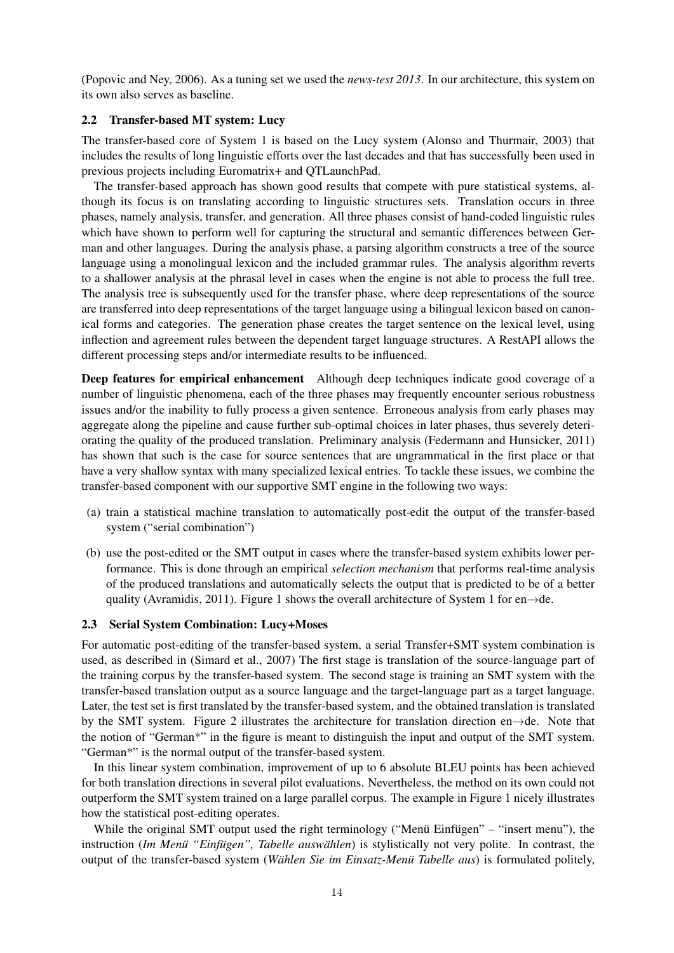(Popovic and Ney, 2006). As a tuning set we used the *news-test 2013*. In our architecture, this system on its own also serves as baseline.

### 2.2 Transfer-based MT system: Lucy

The transfer-based core of System 1 is based on the Lucy system (Alonso and Thurmair, 2003) that includes the results of long linguistic efforts over the last decades and that has successfully been used in previous projects including Euromatrix+ and QTLaunchPad.

The transfer-based approach has shown good results that compete with pure statistical systems, although its focus is on translating according to linguistic structures sets. Translation occurs in three phases, namely analysis, transfer, and generation. All three phases consist of hand-coded linguistic rules which have shown to perform well for capturing the structural and semantic differences between German and other languages. During the analysis phase, a parsing algorithm constructs a tree of the source language using a monolingual lexicon and the included grammar rules. The analysis algorithm reverts to a shallower analysis at the phrasal level in cases when the engine is not able to process the full tree. The analysis tree is subsequently used for the transfer phase, where deep representations of the source are transferred into deep representations of the target language using a bilingual lexicon based on canonical forms and categories. The generation phase creates the target sentence on the lexical level, using inflection and agreement rules between the dependent target language structures. A RestAPI allows the different processing steps and/or intermediate results to be influenced.

Deep features for empirical enhancement Although deep techniques indicate good coverage of a number of linguistic phenomena, each of the three phases may frequently encounter serious robustness issues and/or the inability to fully process a given sentence. Erroneous analysis from early phases may aggregate along the pipeline and cause further sub-optimal choices in later phases, thus severely deteriorating the quality of the produced translation. Preliminary analysis (Federmann and Hunsicker, 2011) has shown that such is the case for source sentences that are ungrammatical in the first place or that have a very shallow syntax with many specialized lexical entries. To tackle these issues, we combine the transfer-based component with our supportive SMT engine in the following two ways:

- (a) train a statistical machine translation to automatically post-edit the output of the transfer-based system ("serial combination")
- (b) use the post-edited or the SMT output in cases where the transfer-based system exhibits lower performance. This is done through an empirical *selection mechanism* that performs real-time analysis of the produced translations and automatically selects the output that is predicted to be of a better quality (Avramidis, 2011). Figure 1 shows the overall architecture of System 1 for en $\rightarrow$ de.

#### 2.3 Serial System Combination: Lucy+Moses

For automatic post-editing of the transfer-based system, a serial Transfer+SMT system combination is used, as described in (Simard et al., 2007) The first stage is translation of the source-language part of the training corpus by the transfer-based system. The second stage is training an SMT system with the transfer-based translation output as a source language and the target-language part as a target language. Later, the test set is first translated by the transfer-based system, and the obtained translation is translated by the SMT system. Figure 2 illustrates the architecture for translation direction en→de. Note that the notion of "German\*" in the figure is meant to distinguish the input and output of the SMT system. "German\*" is the normal output of the transfer-based system.

In this linear system combination, improvement of up to 6 absolute BLEU points has been achieved for both translation directions in several pilot evaluations. Nevertheless, the method on its own could not outperform the SMT system trained on a large parallel corpus. The example in Figure 1 nicely illustrates how the statistical post-editing operates.

While the original SMT output used the right terminology ("Menü Einfügen" – "insert menu"), the instruction (Im Menü "Einfügen", Tabelle auswählen) is stylistically not very polite. In contrast, the output of the transfer-based system (*Wählen Sie im Einsatz-Menü Tabelle aus*) is formulated politely,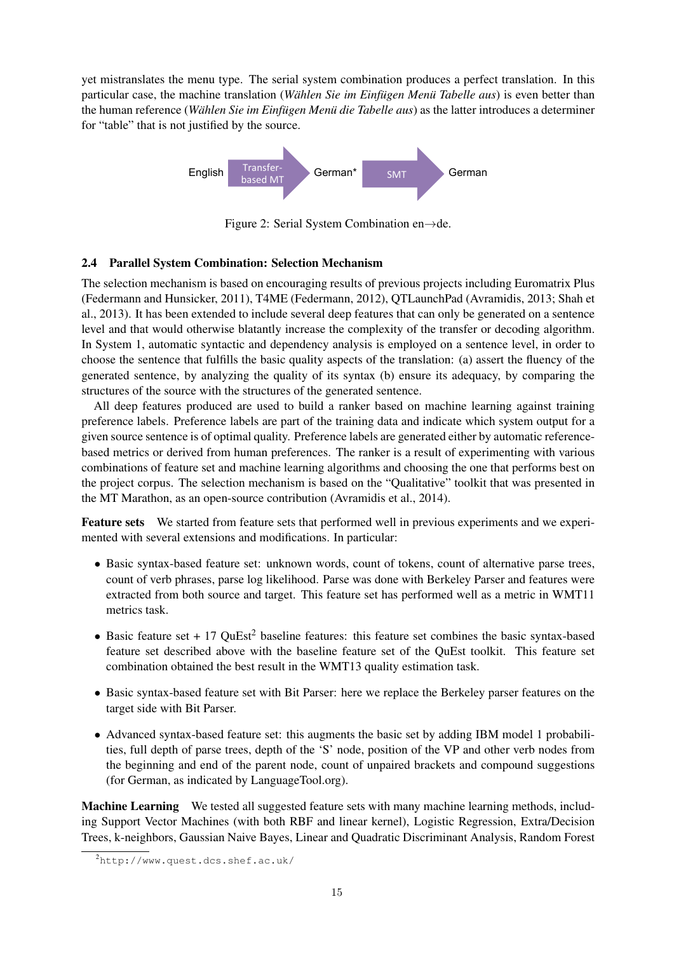yet mistranslates the menu type. The serial system combination produces a perfect translation. In this particular case, the machine translation (*Wählen Sie im Einfügen Menü Tabelle aus*) is even better than the human reference (*Wählen Sie im Einfügen Menü die Tabelle aus*) as the latter introduces a determiner for "table" that is not justified by the source.



Figure 2: Serial System Combination en→de.

# 2.4 Parallel System Combination: Selection Mechanism

The selection mechanism is based on encouraging results of previous projects including Euromatrix Plus (Federmann and Hunsicker, 2011), T4ME (Federmann, 2012), QTLaunchPad (Avramidis, 2013; Shah et al., 2013). It has been extended to include several deep features that can only be generated on a sentence level and that would otherwise blatantly increase the complexity of the transfer or decoding algorithm. In System 1, automatic syntactic and dependency analysis is employed on a sentence level, in order to choose the sentence that fulfills the basic quality aspects of the translation: (a) assert the fluency of the generated sentence, by analyzing the quality of its syntax (b) ensure its adequacy, by comparing the structures of the source with the structures of the generated sentence.

All deep features produced are used to build a ranker based on machine learning against training preference labels. Preference labels are part of the training data and indicate which system output for a given source sentence is of optimal quality. Preference labels are generated either by automatic referencebased metrics or derived from human preferences. The ranker is a result of experimenting with various combinations of feature set and machine learning algorithms and choosing the one that performs best on the project corpus. The selection mechanism is based on the "Qualitative" toolkit that was presented in the MT Marathon, as an open-source contribution (Avramidis et al., 2014).

Feature sets We started from feature sets that performed well in previous experiments and we experimented with several extensions and modifications. In particular:

- Basic syntax-based feature set: unknown words, count of tokens, count of alternative parse trees, count of verb phrases, parse log likelihood. Parse was done with Berkeley Parser and features were extracted from both source and target. This feature set has performed well as a metric in WMT11 metrics task.
- Basic feature set  $+17$  QuEst<sup>2</sup> baseline features: this feature set combines the basic syntax-based feature set described above with the baseline feature set of the QuEst toolkit. This feature set combination obtained the best result in the WMT13 quality estimation task.
- Basic syntax-based feature set with Bit Parser: here we replace the Berkeley parser features on the target side with Bit Parser.
- Advanced syntax-based feature set: this augments the basic set by adding IBM model 1 probabilities, full depth of parse trees, depth of the 'S' node, position of the VP and other verb nodes from the beginning and end of the parent node, count of unpaired brackets and compound suggestions (for German, as indicated by LanguageTool.org).

Machine Learning We tested all suggested feature sets with many machine learning methods, including Support Vector Machines (with both RBF and linear kernel), Logistic Regression, Extra/Decision Trees, k-neighbors, Gaussian Naive Bayes, Linear and Quadratic Discriminant Analysis, Random Forest

<sup>2</sup>http://www.quest.dcs.shef.ac.uk/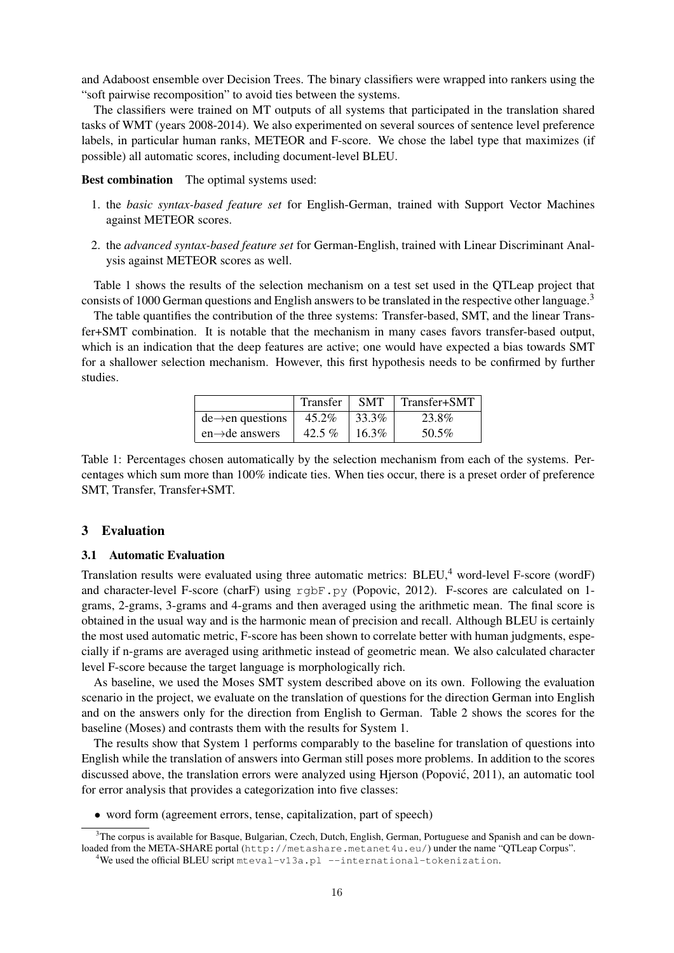and Adaboost ensemble over Decision Trees. The binary classifiers were wrapped into rankers using the "soft pairwise recomposition" to avoid ties between the systems.

The classifiers were trained on MT outputs of all systems that participated in the translation shared tasks of WMT (years 2008-2014). We also experimented on several sources of sentence level preference labels, in particular human ranks, METEOR and F-score. We chose the label type that maximizes (if possible) all automatic scores, including document-level BLEU.

Best combination The optimal systems used:

- 1. the *basic syntax-based feature set* for English-German, trained with Support Vector Machines against METEOR scores.
- 2. the *advanced syntax-based feature set* for German-English, trained with Linear Discriminant Analysis against METEOR scores as well.

Table 1 shows the results of the selection mechanism on a test set used in the QTLeap project that consists of 1000 German questions and English answers to be translated in the respective other language.<sup>3</sup>

The table quantifies the contribution of the three systems: Transfer-based, SMT, and the linear Transfer+SMT combination. It is notable that the mechanism in many cases favors transfer-based output, which is an indication that the deep features are active; one would have expected a bias towards SMT for a shallower selection mechanism. However, this first hypothesis needs to be confirmed by further studies.

|                               | <b>Transfer</b> | <b>SMT</b> | Transfer+SMT |
|-------------------------------|-----------------|------------|--------------|
| $de \rightarrow en$ questions | $45.2\%$        | 33.3%      | 23.8%        |
| $en \rightarrow de$ answers   | 42.5 %          | 16.3%      | 50.5%        |

Table 1: Percentages chosen automatically by the selection mechanism from each of the systems. Percentages which sum more than 100% indicate ties. When ties occur, there is a preset order of preference SMT, Transfer, Transfer+SMT.

### 3 Evaluation

#### 3.1 Automatic Evaluation

Translation results were evaluated using three automatic metrics: BLEU,<sup>4</sup> word-level F-score (wordF) and character-level F-score (charF) using rgbF.py (Popovic, 2012). F-scores are calculated on 1grams, 2-grams, 3-grams and 4-grams and then averaged using the arithmetic mean. The final score is obtained in the usual way and is the harmonic mean of precision and recall. Although BLEU is certainly the most used automatic metric, F-score has been shown to correlate better with human judgments, especially if n-grams are averaged using arithmetic instead of geometric mean. We also calculated character level F-score because the target language is morphologically rich.

As baseline, we used the Moses SMT system described above on its own. Following the evaluation scenario in the project, we evaluate on the translation of questions for the direction German into English and on the answers only for the direction from English to German. Table 2 shows the scores for the baseline (Moses) and contrasts them with the results for System 1.

The results show that System 1 performs comparably to the baseline for translation of questions into English while the translation of answers into German still poses more problems. In addition to the scores discussed above, the translation errors were analyzed using Hjerson (Popovic, 2011), an automatic tool ´ for error analysis that provides a categorization into five classes:

• word form (agreement errors, tense, capitalization, part of speech)

 $3$ The corpus is available for Basque, Bulgarian, Czech, Dutch, English, German, Portuguese and Spanish and can be downloaded from the META-SHARE portal (http://metashare.metanet4u.eu/) under the name "QTLeap Corpus".

<sup>4</sup>We used the official BLEU script mteval-v13a.pl --international-tokenization.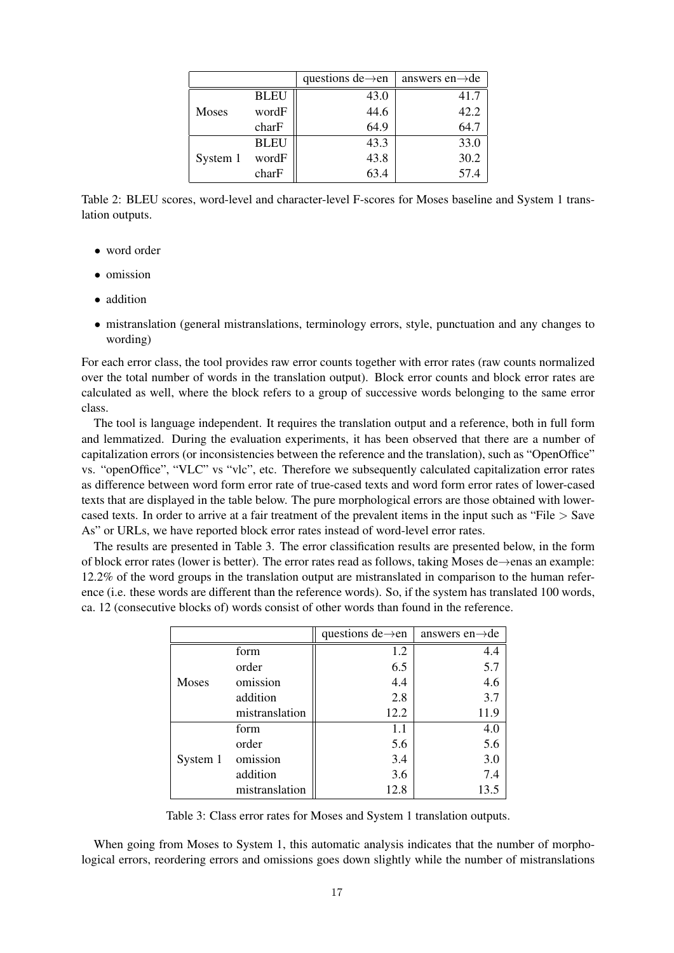|          |             | questions de $\rightarrow$ en | answers en $\rightarrow$ de |
|----------|-------------|-------------------------------|-----------------------------|
| Moses    | <b>BLEU</b> | 43.0                          | 41.7                        |
|          | wordF       | 44.6                          | 42.2                        |
|          | charF       | 64.9                          | 64.7                        |
| System 1 | <b>BLEU</b> | 43.3                          | 33.0                        |
|          | wordF       | 43.8                          | 30.2                        |
|          | charF       | 63.4                          | 57.4                        |

Table 2: BLEU scores, word-level and character-level F-scores for Moses baseline and System 1 translation outputs.

- word order
- omission
- addition
- mistranslation (general mistranslations, terminology errors, style, punctuation and any changes to wording)

For each error class, the tool provides raw error counts together with error rates (raw counts normalized over the total number of words in the translation output). Block error counts and block error rates are calculated as well, where the block refers to a group of successive words belonging to the same error class.

The tool is language independent. It requires the translation output and a reference, both in full form and lemmatized. During the evaluation experiments, it has been observed that there are a number of capitalization errors (or inconsistencies between the reference and the translation), such as "OpenOffice" vs. "openOffice", "VLC" vs "vlc", etc. Therefore we subsequently calculated capitalization error rates as difference between word form error rate of true-cased texts and word form error rates of lower-cased texts that are displayed in the table below. The pure morphological errors are those obtained with lowercased texts. In order to arrive at a fair treatment of the prevalent items in the input such as "File > Save As" or URLs, we have reported block error rates instead of word-level error rates.

The results are presented in Table 3. The error classification results are presented below, in the form of block error rates (lower is better). The error rates read as follows, taking Moses de→enas an example: 12.2% of the word groups in the translation output are mistranslated in comparison to the human reference (i.e. these words are different than the reference words). So, if the system has translated 100 words, ca. 12 (consecutive blocks of) words consist of other words than found in the reference.

|          |                | questions de $\rightarrow$ en | answers en $\rightarrow$ de |
|----------|----------------|-------------------------------|-----------------------------|
| Moses    | form           | 1.2                           | 4.4                         |
|          | order          | 6.5                           | 5.7                         |
|          | omission       | 4.4                           | 4.6                         |
|          | addition       | 2.8                           | 3.7                         |
|          | mistranslation | 12.2                          | 11.9                        |
| System 1 | form           | 1.1                           | 4.0                         |
|          | order          | 5.6                           | 5.6                         |
|          | omission       | 3.4                           | 3.0                         |
|          | addition       | 3.6                           | 7.4                         |
|          | mistranslation | 12.8                          | 13.5                        |

Table 3: Class error rates for Moses and System 1 translation outputs.

When going from Moses to System 1, this automatic analysis indicates that the number of morphological errors, reordering errors and omissions goes down slightly while the number of mistranslations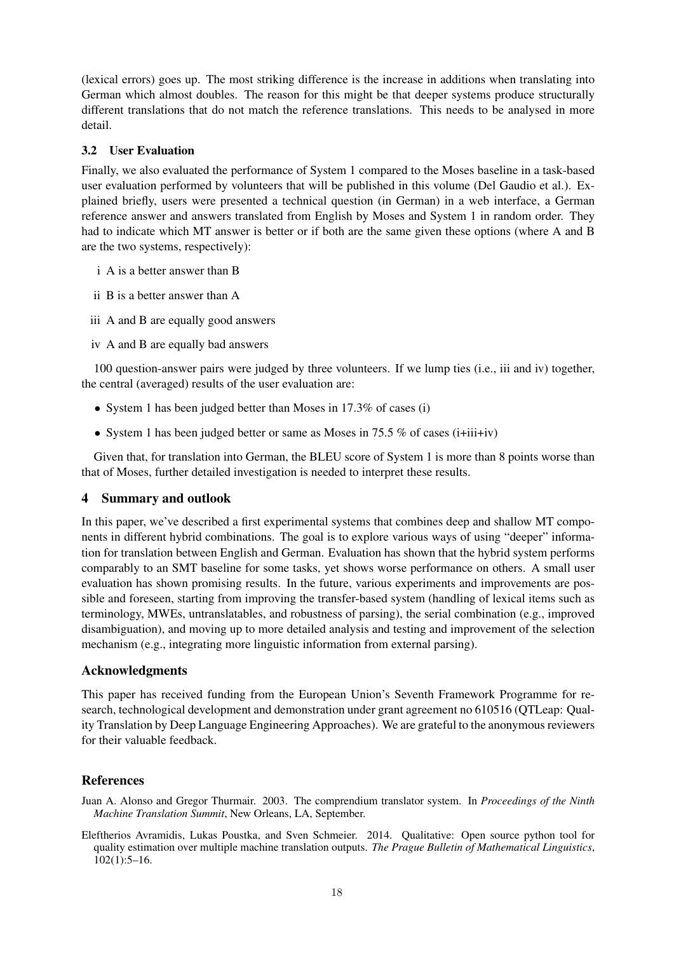(lexical errors) goes up. The most striking difference is the increase in additions when translating into German which almost doubles. The reason for this might be that deeper systems produce structurally different translations that do not match the reference translations. This needs to be analysed in more detail.

### 3.2 User Evaluation

Finally, we also evaluated the performance of System 1 compared to the Moses baseline in a task-based user evaluation performed by volunteers that will be published in this volume (Del Gaudio et al.). Explained briefly, users were presented a technical question (in German) in a web interface, a German reference answer and answers translated from English by Moses and System 1 in random order. They had to indicate which MT answer is better or if both are the same given these options (where A and B are the two systems, respectively):

- i A is a better answer than B
- ii B is a better answer than A
- iii A and B are equally good answers
- iv A and B are equally bad answers

100 question-answer pairs were judged by three volunteers. If we lump ties (i.e., iii and iv) together, the central (averaged) results of the user evaluation are:

- System 1 has been judged better than Moses in 17.3% of cases (i)
- System 1 has been judged better or same as Moses in 75.5 % of cases (i+iii+iv)

Given that, for translation into German, the BLEU score of System 1 is more than 8 points worse than that of Moses, further detailed investigation is needed to interpret these results.

# 4 Summary and outlook

In this paper, we've described a first experimental systems that combines deep and shallow MT components in different hybrid combinations. The goal is to explore various ways of using "deeper" information for translation between English and German. Evaluation has shown that the hybrid system performs comparably to an SMT baseline for some tasks, yet shows worse performance on others. A small user evaluation has shown promising results. In the future, various experiments and improvements are possible and foreseen, starting from improving the transfer-based system (handling of lexical items such as terminology, MWEs, untranslatables, and robustness of parsing), the serial combination (e.g., improved disambiguation), and moving up to more detailed analysis and testing and improvement of the selection mechanism (e.g., integrating more linguistic information from external parsing).

# Acknowledgments

This paper has received funding from the European Union's Seventh Framework Programme for research, technological development and demonstration under grant agreement no 610516 (QTLeap: Quality Translation by Deep Language Engineering Approaches). We are grateful to the anonymous reviewers for their valuable feedback.

# References

Juan A. Alonso and Gregor Thurmair. 2003. The comprendium translator system. In *Proceedings of the Ninth Machine Translation Summit*, New Orleans, LA, September.

Eleftherios Avramidis, Lukas Poustka, and Sven Schmeier. 2014. Qualitative: Open source python tool for quality estimation over multiple machine translation outputs. *The Prague Bulletin of Mathematical Linguistics*, 102(1):5–16.